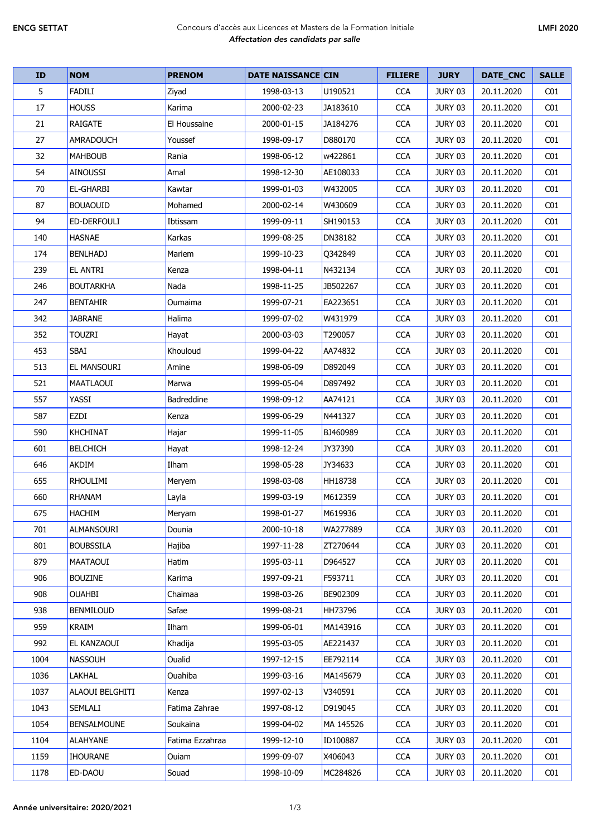## ENCG SETTAT Concours d'accès aux Licences et Masters de la Formation Initiale *Affectation des candidats par salle*

| <b>ID</b> | <b>NOM</b>             | <b>PRENOM</b>   | <b>DATE NAISSANCE CIN</b> |           | <b>FILIERE</b> | <b>JURY</b>    | DATE_CNC   | <b>SALLE</b>    |
|-----------|------------------------|-----------------|---------------------------|-----------|----------------|----------------|------------|-----------------|
| 5         | <b>FADILI</b>          | Ziyad           | 1998-03-13                | U190521   | <b>CCA</b>     | JURY 03        | 20.11.2020 | CO <sub>1</sub> |
| 17        | <b>HOUSS</b>           | Karima          | 2000-02-23                | JA183610  | <b>CCA</b>     | JURY 03        | 20.11.2020 | CO <sub>1</sub> |
| 21        | <b>RAIGATE</b>         | El Houssaine    | 2000-01-15                | JA184276  | <b>CCA</b>     | JURY 03        | 20.11.2020 | CO <sub>1</sub> |
| 27        | <b>AMRADOUCH</b>       | Youssef         | 1998-09-17                | D880170   | <b>CCA</b>     | JURY 03        | 20.11.2020 | CO <sub>1</sub> |
| 32        | <b>MAHBOUB</b>         | Rania           | 1998-06-12                | w422861   | <b>CCA</b>     | JURY 03        | 20.11.2020 | CO <sub>1</sub> |
| 54        | <b>AINOUSSI</b>        | Amal            | 1998-12-30                | AE108033  | <b>CCA</b>     | <b>JURY 03</b> | 20.11.2020 | CO <sub>1</sub> |
| 70        | <b>EL-GHARBI</b>       | Kawtar          | 1999-01-03                | W432005   | <b>CCA</b>     | JURY 03        | 20.11.2020 | CO <sub>1</sub> |
| 87        | <b>BOUAOUID</b>        | Mohamed         | 2000-02-14                | W430609   | <b>CCA</b>     | JURY 03        | 20.11.2020 | CO <sub>1</sub> |
| 94        | <b>ED-DERFOULI</b>     | Ibtissam        | 1999-09-11                | SH190153  | <b>CCA</b>     | JURY 03        | 20.11.2020 | CO <sub>1</sub> |
| 140       | <b>HASNAE</b>          | Karkas          | 1999-08-25                | DN38182   | <b>CCA</b>     | JURY 03        | 20.11.2020 | CO <sub>1</sub> |
| 174       | <b>BENLHADJ</b>        | Mariem          | 1999-10-23                | Q342849   | <b>CCA</b>     | JURY 03        | 20.11.2020 | CO1             |
| 239       | <b>EL ANTRI</b>        | Kenza           | 1998-04-11                | N432134   | <b>CCA</b>     | JURY 03        | 20.11.2020 | CO <sub>1</sub> |
| 246       | <b>BOUTARKHA</b>       | Nada            | 1998-11-25                | JB502267  | <b>CCA</b>     | JURY 03        | 20.11.2020 | CO <sub>1</sub> |
| 247       | <b>BENTAHIR</b>        | Oumaima         | 1999-07-21                | EA223651  | <b>CCA</b>     | JURY 03        | 20.11.2020 | CO <sub>1</sub> |
| 342       | <b>JABRANE</b>         | Halima          | 1999-07-02                | W431979   | <b>CCA</b>     | JURY 03        | 20.11.2020 | CO <sub>1</sub> |
| 352       | <b>TOUZRI</b>          | Hayat           | 2000-03-03                | T290057   | <b>CCA</b>     | JURY 03        | 20.11.2020 | CO <sub>1</sub> |
| 453       | SBAI                   | Khouloud        | 1999-04-22                | AA74832   | <b>CCA</b>     | JURY 03        | 20.11.2020 | CO <sub>1</sub> |
| 513       | <b>EL MANSOURI</b>     | Amine           | 1998-06-09                | D892049   | <b>CCA</b>     | JURY 03        | 20.11.2020 | CO <sub>1</sub> |
| 521       | MAATLAOUI              | Marwa           | 1999-05-04                | D897492   | <b>CCA</b>     | JURY 03        | 20.11.2020 | CO1             |
| 557       | YASSI                  | Badreddine      | 1998-09-12                | AA74121   | <b>CCA</b>     | JURY 03        | 20.11.2020 | CO <sub>1</sub> |
| 587       | EZDI                   | Kenza           | 1999-06-29                | N441327   | <b>CCA</b>     | JURY 03        | 20.11.2020 | CO <sub>1</sub> |
| 590       | <b>KHCHINAT</b>        | Hajar           | 1999-11-05                | BJ460989  | <b>CCA</b>     | JURY 03        | 20.11.2020 | CO <sub>1</sub> |
| 601       | <b>BELCHICH</b>        | Hayat           | 1998-12-24                | JY37390   | <b>CCA</b>     | JURY 03        | 20.11.2020 | CO <sub>1</sub> |
| 646       | <b>AKDIM</b>           | Ilham           | 1998-05-28                | JY34633   | <b>CCA</b>     | JURY 03        | 20.11.2020 | CO <sub>1</sub> |
| 655       | <b>RHOULIMI</b>        | Meryem          | 1998-03-08                | HH18738   | <b>CCA</b>     | JURY 03        | 20.11.2020 | CO <sub>1</sub> |
| 660       | <b>RHANAM</b>          | Layla           | 1999-03-19                | M612359   | <b>CCA</b>     | JURY 03        | 20.11.2020 | CO <sub>1</sub> |
| 675       | HACHIM                 | Meryam          | 1998-01-27                | M619936   | <b>CCA</b>     | JURY 03        | 20.11.2020 | CO <sub>1</sub> |
| 701       | <b>ALMANSOURI</b>      | Dounia          | 2000-10-18                | WA277889  | <b>CCA</b>     | <b>JURY 03</b> | 20.11.2020 | C <sub>01</sub> |
| 801       | <b>BOUBSSILA</b>       | Hajiba          | 1997-11-28                | ZT270644  | <b>CCA</b>     | JURY 03        | 20.11.2020 | CO <sub>1</sub> |
| 879       | MAATAOUI               | <b>Hatim</b>    | 1995-03-11                | D964527   | <b>CCA</b>     | JURY 03        | 20.11.2020 | CO1             |
| 906       | <b>BOUZINE</b>         | Karima          | 1997-09-21                | F593711   | <b>CCA</b>     | JURY 03        | 20.11.2020 | CO1             |
| 908       | <b>OUAHBI</b>          | Chaimaa         | 1998-03-26                | BE902309  | <b>CCA</b>     | JURY 03        | 20.11.2020 | CO <sub>1</sub> |
| 938       | <b>BENMILOUD</b>       | Safae           | 1999-08-21                | HH73796   | <b>CCA</b>     | JURY 03        | 20.11.2020 | CO <sub>1</sub> |
| 959       | <b>KRAIM</b>           | Ilham           | 1999-06-01                | MA143916  | <b>CCA</b>     | <b>JURY 03</b> | 20.11.2020 | CO <sub>1</sub> |
| 992       | <b>EL KANZAOUI</b>     | Khadija         | 1995-03-05                | AE221437  | <b>CCA</b>     | JURY 03        | 20.11.2020 | CO <sub>1</sub> |
| 1004      | <b>NASSOUH</b>         | Oualid          | 1997-12-15                | EE792114  | <b>CCA</b>     | JURY 03        | 20.11.2020 | CO <sub>1</sub> |
| 1036      | LAKHAL                 | Ouahiba         | 1999-03-16                | MA145679  | <b>CCA</b>     | JURY 03        | 20.11.2020 | CO <sub>1</sub> |
| 1037      | <b>ALAOUI BELGHITI</b> | Kenza           | 1997-02-13                | V340591   | <b>CCA</b>     | JURY 03        | 20.11.2020 | CO1             |
| 1043      | <b>SEMLALI</b>         | Fatima Zahrae   | 1997-08-12                | D919045   | <b>CCA</b>     | JURY 03        | 20.11.2020 | CO <sub>1</sub> |
| 1054      | <b>BENSALMOUNE</b>     | Soukaina        | 1999-04-02                | MA 145526 | <b>CCA</b>     | JURY 03        | 20.11.2020 | CO <sub>1</sub> |
| 1104      | <b>ALAHYANE</b>        | Fatima Ezzahraa | 1999-12-10                | ID100887  | <b>CCA</b>     | JURY 03        | 20.11.2020 | CO1             |
| 1159      | <b>IHOURANE</b>        | Ouiam           | 1999-09-07                | X406043   | <b>CCA</b>     | JURY 03        | 20.11.2020 | C <sub>01</sub> |
| 1178      | ED-DAOU                | Souad           | 1998-10-09                | MC284826  | <b>CCA</b>     | JURY 03        | 20.11.2020 | CO <sub>1</sub> |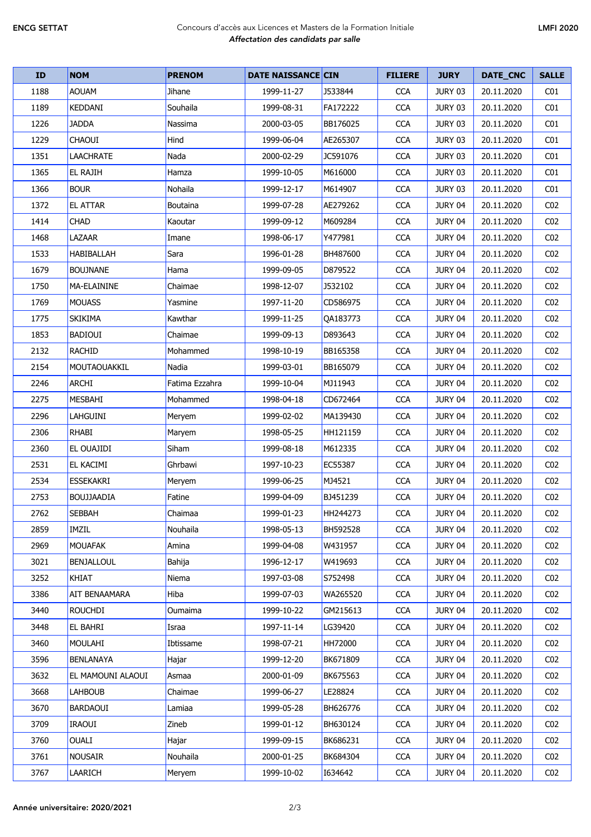## ENCG SETTAT Concours d'accès aux Licences et Masters de la Formation Initiale *Affectation des candidats par salle*

| <b>ID</b> | <b>NOM</b>           | <b>PRENOM</b>  | <b>DATE NAISSANCE CIN</b> |          | <b>FILIERE</b> | <b>JURY</b>    | DATE_CNC   | <b>SALLE</b>    |
|-----------|----------------------|----------------|---------------------------|----------|----------------|----------------|------------|-----------------|
| 1188      | <b>AOUAM</b>         | Jihane         | 1999-11-27                | J533844  | <b>CCA</b>     | JURY 03        | 20.11.2020 | CO <sub>1</sub> |
| 1189      | KEDDANI              | Souhaila       | 1999-08-31                | FA172222 | <b>CCA</b>     | JURY 03        | 20.11.2020 | CO <sub>1</sub> |
| 1226      | <b>JADDA</b>         | Nassima        | 2000-03-05                | BB176025 | <b>CCA</b>     | JURY 03        | 20.11.2020 | CO <sub>1</sub> |
| 1229      | <b>CHAOUI</b>        | Hind           | 1999-06-04                | AE265307 | <b>CCA</b>     | JURY 03        | 20.11.2020 | CO <sub>1</sub> |
| 1351      | <b>LAACHRATE</b>     | Nada           | 2000-02-29                | JC591076 | <b>CCA</b>     | JURY 03        | 20.11.2020 | CO <sub>1</sub> |
| 1365      | <b>EL RAJIH</b>      | Hamza          | 1999-10-05                | M616000  | <b>CCA</b>     | <b>JURY 03</b> | 20.11.2020 | CO <sub>1</sub> |
| 1366      | <b>BOUR</b>          | Nohaila        | 1999-12-17                | M614907  | <b>CCA</b>     | JURY 03        | 20.11.2020 | CO <sub>1</sub> |
| 1372      | <b>EL ATTAR</b>      | Boutaina       | 1999-07-28                | AE279262 | <b>CCA</b>     | <b>JURY 04</b> | 20.11.2020 | CO <sub>2</sub> |
| 1414      | <b>CHAD</b>          | Kaoutar        | 1999-09-12                | M609284  | <b>CCA</b>     | JURY 04        | 20.11.2020 | CO <sub>2</sub> |
| 1468      | LAZAAR               | Imane          | 1998-06-17                | Y477981  | <b>CCA</b>     | JURY 04        | 20.11.2020 | CO <sub>2</sub> |
| 1533      | <b>HABIBALLAH</b>    | Sara           | 1996-01-28                | BH487600 | <b>CCA</b>     | JURY 04        | 20.11.2020 | CO <sub>2</sub> |
| 1679      | <b>BOUJNANE</b>      | Hama           | 1999-09-05                | D879522  | <b>CCA</b>     | JURY 04        | 20.11.2020 | CO <sub>2</sub> |
| 1750      | <b>MA-ELAININE</b>   | Chaimae        | 1998-12-07                | J532102  | <b>CCA</b>     | JURY 04        | 20.11.2020 | CO <sub>2</sub> |
| 1769      | <b>MOUASS</b>        | Yasmine        | 1997-11-20                | CD586975 | <b>CCA</b>     | JURY 04        | 20.11.2020 | CO <sub>2</sub> |
| 1775      | <b>SKIKIMA</b>       | Kawthar        | 1999-11-25                | QA183773 | <b>CCA</b>     | JURY 04        | 20.11.2020 | CO <sub>2</sub> |
| 1853      | <b>BADIOUI</b>       | Chaimae        | 1999-09-13                | D893643  | <b>CCA</b>     | JURY 04        | 20.11.2020 | CO <sub>2</sub> |
| 2132      | <b>RACHID</b>        | Mohammed       | 1998-10-19                | BB165358 | <b>CCA</b>     | JURY 04        | 20.11.2020 | CO <sub>2</sub> |
| 2154      | MOUTAOUAKKIL         | Nadia          | 1999-03-01                | BB165079 | <b>CCA</b>     | JURY 04        | 20.11.2020 | CO <sub>2</sub> |
| 2246      | <b>ARCHI</b>         | Fatima Ezzahra | 1999-10-04                | MJ11943  | <b>CCA</b>     | JURY 04        | 20.11.2020 | CO <sub>2</sub> |
| 2275      | <b>MESBAHI</b>       | Mohammed       | 1998-04-18                | CD672464 | <b>CCA</b>     | JURY 04        | 20.11.2020 | CO <sub>2</sub> |
| 2296      | LAHGUINI             | Meryem         | 1999-02-02                | MA139430 | <b>CCA</b>     | JURY 04        | 20.11.2020 | CO <sub>2</sub> |
| 2306      | <b>RHABI</b>         | Maryem         | 1998-05-25                | HH121159 | <b>CCA</b>     | <b>JURY 04</b> | 20.11.2020 | CO <sub>2</sub> |
| 2360      | EL OUAJIDI           | Siham          | 1999-08-18                | M612335  | <b>CCA</b>     | JURY 04        | 20.11.2020 | CO <sub>2</sub> |
| 2531      | EL KACIMI            | Ghrbawi        | 1997-10-23                | EC55387  | <b>CCA</b>     | JURY 04        | 20.11.2020 | CO <sub>2</sub> |
| 2534      | <b>ESSEKAKRI</b>     | Meryem         | 1999-06-25                | MJ4521   | <b>CCA</b>     | JURY 04        | 20.11.2020 | CO <sub>2</sub> |
| 2753      | <b>BOUJJAADIA</b>    | Fatine         | 1999-04-09                | BJ451239 | <b>CCA</b>     | JURY 04        | 20.11.2020 | CO <sub>2</sub> |
| 2762      | <b>SEBBAH</b>        | Chaimaa        | 1999-01-23                | HH244273 | <b>CCA</b>     | JURY 04        | 20.11.2020 | CO <sub>2</sub> |
| 2859      | IMZIL                | Nouhaila       | 1998-05-13                | BH592528 | <b>CCA</b>     | JURY 04        | 20.11.2020 | CO <sub>2</sub> |
| 2969      | <b>MOUAFAK</b>       | Amina          | 1999-04-08                | W431957  | <b>CCA</b>     | JURY 04        | 20.11.2020 | CO <sub>2</sub> |
| 3021      | <b>BENJALLOUL</b>    | Bahija         | 1996-12-17                | W419693  | <b>CCA</b>     | JURY 04        | 20.11.2020 | CO <sub>2</sub> |
| 3252      | <b>KHIAT</b>         | Niema          | 1997-03-08                | S752498  | <b>CCA</b>     | JURY 04        | 20.11.2020 | CO <sub>2</sub> |
| 3386      | <b>AIT BENAAMARA</b> | Hiba           | 1999-07-03                | WA265520 | <b>CCA</b>     | JURY 04        | 20.11.2020 | CO <sub>2</sub> |
| 3440      | <b>ROUCHDI</b>       | Oumaima        | 1999-10-22                | GM215613 | <b>CCA</b>     | JURY 04        | 20.11.2020 | CO <sub>2</sub> |
| 3448      | <b>EL BAHRI</b>      | Israa          | 1997-11-14                | LG39420  | <b>CCA</b>     | JURY 04        | 20.11.2020 | CO <sub>2</sub> |
| 3460      | <b>MOULAHI</b>       | Ibtissame      | 1998-07-21                | HH72000  | <b>CCA</b>     | JURY 04        | 20.11.2020 | CO <sub>2</sub> |
| 3596      | <b>BENLANAYA</b>     | Hajar          | 1999-12-20                | BK671809 | <b>CCA</b>     | JURY 04        | 20.11.2020 | CO <sub>2</sub> |
| 3632      | EL MAMOUNI ALAOUI    | Asmaa          | 2000-01-09                | BK675563 | <b>CCA</b>     | JURY 04        | 20.11.2020 | CO <sub>2</sub> |
| 3668      | <b>LAHBOUB</b>       | Chaimae        | 1999-06-27                | LE28824  | <b>CCA</b>     | JURY 04        | 20.11.2020 | CO <sub>2</sub> |
| 3670      | <b>BARDAOUI</b>      | Lamiaa         | 1999-05-28                | BH626776 | <b>CCA</b>     | JURY 04        | 20.11.2020 | CO <sub>2</sub> |
| 3709      | <b>IRAOUI</b>        | Zineb          | 1999-01-12                | BH630124 | <b>CCA</b>     | JURY 04        | 20.11.2020 | CO <sub>2</sub> |
| 3760      | <b>OUALI</b>         | Hajar          | 1999-09-15                | BK686231 | <b>CCA</b>     | JURY 04        | 20.11.2020 | CO <sub>2</sub> |
| 3761      | <b>NOUSAIR</b>       | Nouhaila       | 2000-01-25                | BK684304 | <b>CCA</b>     | JURY 04        | 20.11.2020 | CO <sub>2</sub> |
| 3767      | LAARICH              | Meryem         | 1999-10-02                | 1634642  | <b>CCA</b>     | JURY 04        | 20.11.2020 | CO <sub>2</sub> |